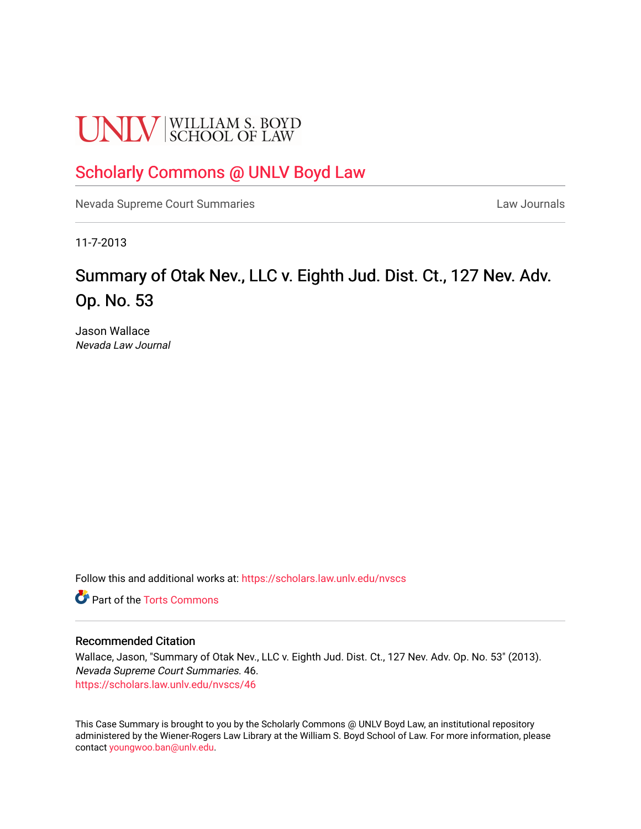# **UNLV** SCHOOL OF LAW

### [Scholarly Commons @ UNLV Boyd Law](https://scholars.law.unlv.edu/)

[Nevada Supreme Court Summaries](https://scholars.law.unlv.edu/nvscs) **Law Journals** Law Journals

11-7-2013

## Summary of Otak Nev., LLC v. Eighth Jud. Dist. Ct., 127 Nev. Adv. Op. No. 53

Jason Wallace Nevada Law Journal

Follow this and additional works at: [https://scholars.law.unlv.edu/nvscs](https://scholars.law.unlv.edu/nvscs?utm_source=scholars.law.unlv.edu%2Fnvscs%2F46&utm_medium=PDF&utm_campaign=PDFCoverPages)

**C** Part of the [Torts Commons](http://network.bepress.com/hgg/discipline/913?utm_source=scholars.law.unlv.edu%2Fnvscs%2F46&utm_medium=PDF&utm_campaign=PDFCoverPages)

#### Recommended Citation

Wallace, Jason, "Summary of Otak Nev., LLC v. Eighth Jud. Dist. Ct., 127 Nev. Adv. Op. No. 53" (2013). Nevada Supreme Court Summaries. 46. [https://scholars.law.unlv.edu/nvscs/46](https://scholars.law.unlv.edu/nvscs/46?utm_source=scholars.law.unlv.edu%2Fnvscs%2F46&utm_medium=PDF&utm_campaign=PDFCoverPages) 

This Case Summary is brought to you by the Scholarly Commons @ UNLV Boyd Law, an institutional repository administered by the Wiener-Rogers Law Library at the William S. Boyd School of Law. For more information, please contact [youngwoo.ban@unlv.edu](mailto:youngwoo.ban@unlv.edu).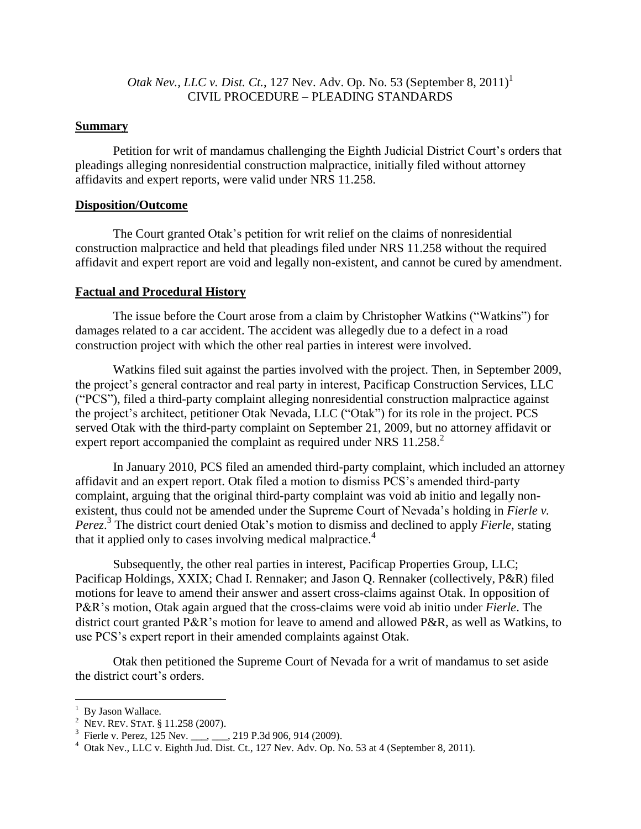#### *Otak Nev., LLC v. Dist. Ct.*, 127 Nev. Adv. Op. No. 53 (September 8, 2011)<sup>1</sup> CIVIL PROCEDURE – PLEADING STANDARDS

#### **Summary**

Petition for writ of mandamus challenging the Eighth Judicial District Court's orders that pleadings alleging nonresidential construction malpractice, initially filed without attorney affidavits and expert reports, were valid under NRS 11.258.

#### **Disposition/Outcome**

The Court granted Otak's petition for writ relief on the claims of nonresidential construction malpractice and held that pleadings filed under NRS 11.258 without the required affidavit and expert report are void and legally non-existent, and cannot be cured by amendment.

#### **Factual and Procedural History**

The issue before the Court arose from a claim by Christopher Watkins ("Watkins") for damages related to a car accident. The accident was allegedly due to a defect in a road construction project with which the other real parties in interest were involved.

Watkins filed suit against the parties involved with the project. Then, in September 2009, the project's general contractor and real party in interest, Pacificap Construction Services, LLC ("PCS"), filed a third-party complaint alleging nonresidential construction malpractice against the project's architect, petitioner Otak Nevada, LLC ("Otak") for its role in the project. PCS served Otak with the third-party complaint on September 21, 2009, but no attorney affidavit or expert report accompanied the complaint as required under NRS 11.258.<sup>2</sup>

In January 2010, PCS filed an amended third-party complaint, which included an attorney affidavit and an expert report. Otak filed a motion to dismiss PCS's amended third-party complaint, arguing that the original third-party complaint was void ab initio and legally nonexistent, thus could not be amended under the Supreme Court of Nevada's holding in *Fierle v. Perez*. 3 The district court denied Otak's motion to dismiss and declined to apply *Fierle*, stating that it applied only to cases involving medical malpractice.<sup>4</sup>

Subsequently, the other real parties in interest, Pacificap Properties Group, LLC; Pacificap Holdings, XXIX; Chad I. Rennaker; and Jason Q. Rennaker (collectively, P&R) filed motions for leave to amend their answer and assert cross-claims against Otak. In opposition of P&R's motion, Otak again argued that the cross-claims were void ab initio under *Fierle*. The district court granted P&R's motion for leave to amend and allowed P&R, as well as Watkins, to use PCS's expert report in their amended complaints against Otak.

Otak then petitioned the Supreme Court of Nevada for a writ of mandamus to set aside the district court's orders.

 $\overline{a}$ 

<sup>1</sup> By Jason Wallace.

<sup>2</sup> NEV. REV. STAT. § 11.258 (2007).

<sup>&</sup>lt;sup>3</sup> Fierle v. Perez, 125 Nev. \_\_\_, \_\_\_, 219 P.3d 906, 914 (2009).

 $4$  Otak Nev., LLC v. Eighth Jud. Dist. Ct., 127 Nev. Adv. Op. No. 53 at 4 (September 8, 2011).